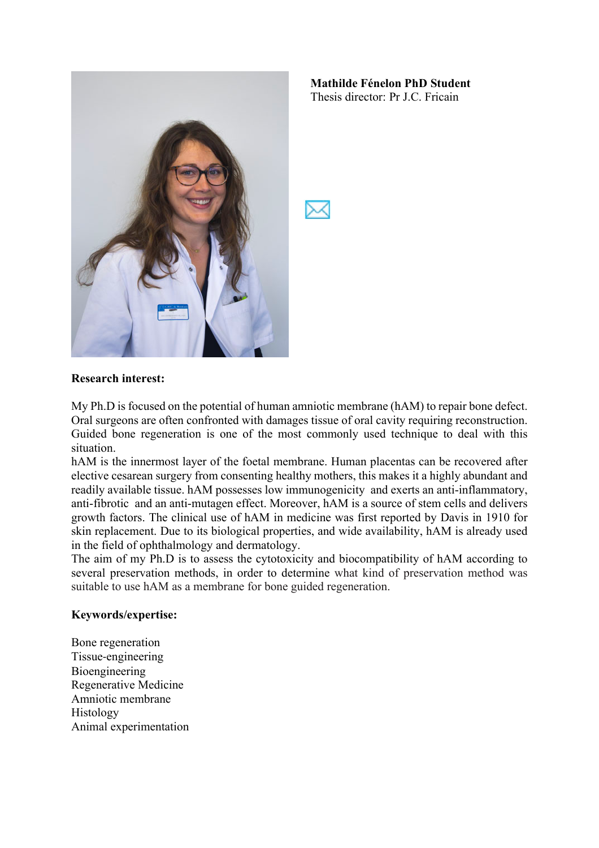

**Mathilde Fénelon PhD Student** Thesis director: Pr J.C. Fricain

## **Research interest:**

My Ph.D is focused on the potential of human amniotic membrane (hAM) to repair bone defect. Oral surgeons are often confronted with damages tissue of oral cavity requiring reconstruction. Guided bone regeneration is one of the most commonly used technique to deal with this situation.

hAM is the innermost layer of the foetal membrane. Human placentas can be recovered after elective cesarean surgery from consenting healthy mothers, this makes it a highly abundant and readily available tissue. hAM possesses low immunogenicity and exerts an anti-inflammatory, anti-fibrotic and an anti-mutagen effect. Moreover, hAM is a source of stem cells and delivers growth factors. The clinical use of hAM in medicine was first reported by Davis in 1910 for skin replacement. Due to its biological properties, and wide availability, hAM is already used in the field of ophthalmology and dermatology.

The aim of my Ph.D is to assess the cytotoxicity and biocompatibility of hAM according to several preservation methods, in order to determine what kind of preservation method was suitable to use hAM as a membrane for bone guided regeneration.

## **Keywords/expertise:**

Bone regeneration Tissue-engineering Bioengineering Regenerative Medicine Amniotic membrane Histology Animal experimentation